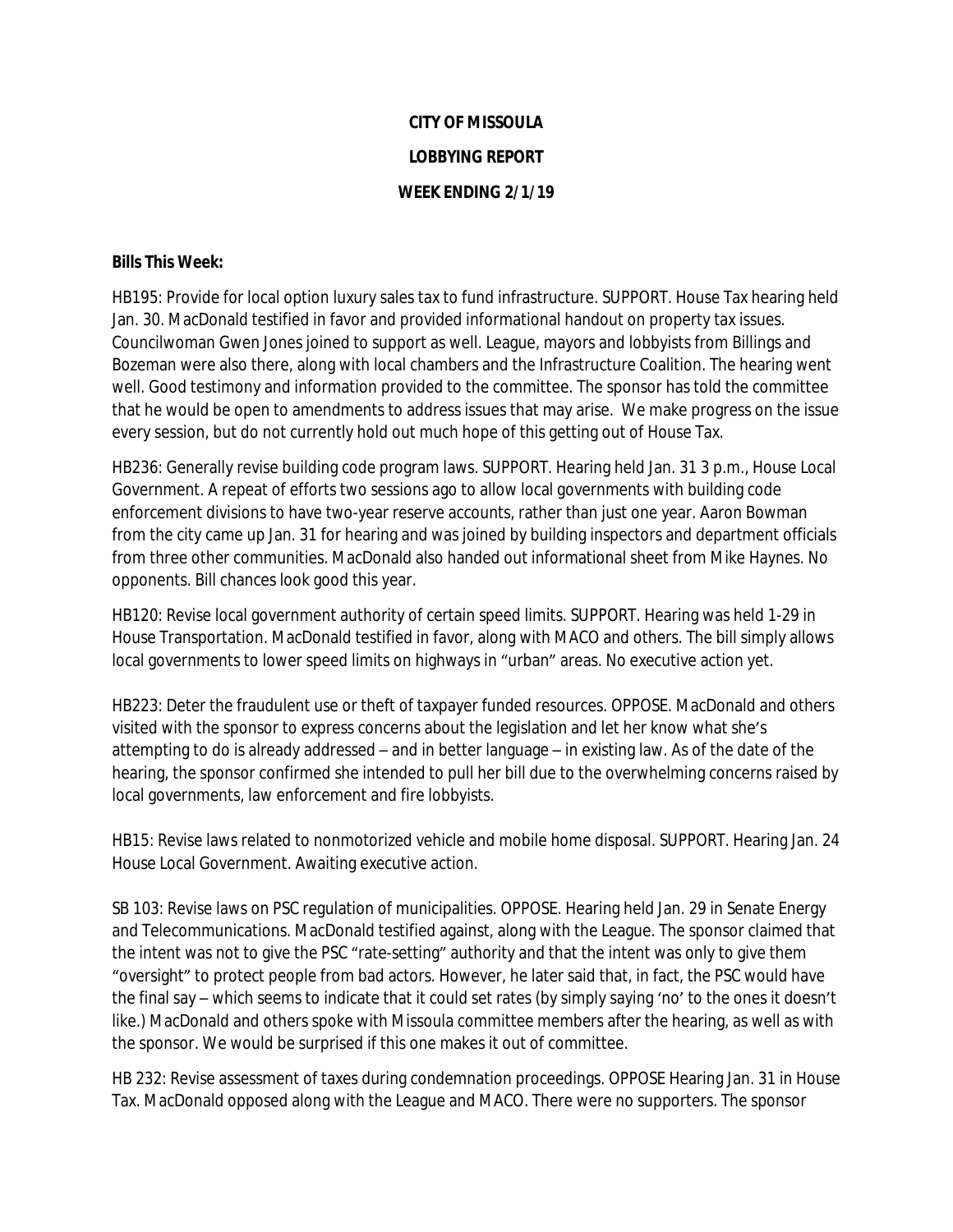## **CITY OF MISSOULA LOBBYING REPORT WEEK ENDING 2/1/19**

## **Bills This Week:**

HB195: Provide for local option luxury sales tax to fund infrastructure. SUPPORT. House Tax hearing held Jan. 30. MacDonald testified in favor and provided informational handout on property tax issues. Councilwoman Gwen Jones joined to support as well. League, mayors and lobbyists from Billings and Bozeman were also there, along with local chambers and the Infrastructure Coalition. The hearing went well. Good testimony and information provided to the committee. The sponsor has told the committee that he would be open to amendments to address issues that may arise. We make progress on the issue every session, but do not currently hold out much hope of this getting out of House Tax.

HB236: Generally revise building code program laws. SUPPORT. Hearing held Jan. 31 3 p.m., House Local Government. A repeat of efforts two sessions ago to allow local governments with building code enforcement divisions to have two-year reserve accounts, rather than just one year. Aaron Bowman from the city came up Jan. 31 for hearing and was joined by building inspectors and department officials from three other communities. MacDonald also handed out informational sheet from Mike Haynes. No opponents. Bill chances look good this year.

HB120: Revise local government authority of certain speed limits. SUPPORT. Hearing was held 1-29 in House Transportation. MacDonald testified in favor, along with MACO and others. The bill simply allows local governments to lower speed limits on highways in "urban" areas. No executive action yet.

HB223: Deter the fraudulent use or theft of taxpayer funded resources. OPPOSE. MacDonald and others visited with the sponsor to express concerns about the legislation and let her know what she's attempting to do is already addressed – and in better language – in existing law. As of the date of the hearing, the sponsor confirmed she intended to pull her bill due to the overwhelming concerns raised by local governments, law enforcement and fire lobbyists.

HB15: Revise laws related to nonmotorized vehicle and mobile home disposal. SUPPORT. Hearing Jan. 24 House Local Government. Awaiting executive action.

SB 103: Revise laws on PSC regulation of municipalities. OPPOSE. Hearing held Jan. 29 in Senate Energy and Telecommunications. MacDonald testified against, along with the League. The sponsor claimed that the intent was not to give the PSC "rate-setting" authority and that the intent was only to give them "oversight" to protect people from bad actors. However, he later said that, in fact, the PSC would have the final say – which seems to indicate that it could set rates (by simply saying 'no' to the ones it doesn't like.) MacDonald and others spoke with Missoula committee members after the hearing, as well as with the sponsor. We would be surprised if this one makes it out of committee.

HB 232: Revise assessment of taxes during condemnation proceedings. OPPOSE Hearing Jan. 31 in House Tax. MacDonald opposed along with the League and MACO. There were no supporters. The sponsor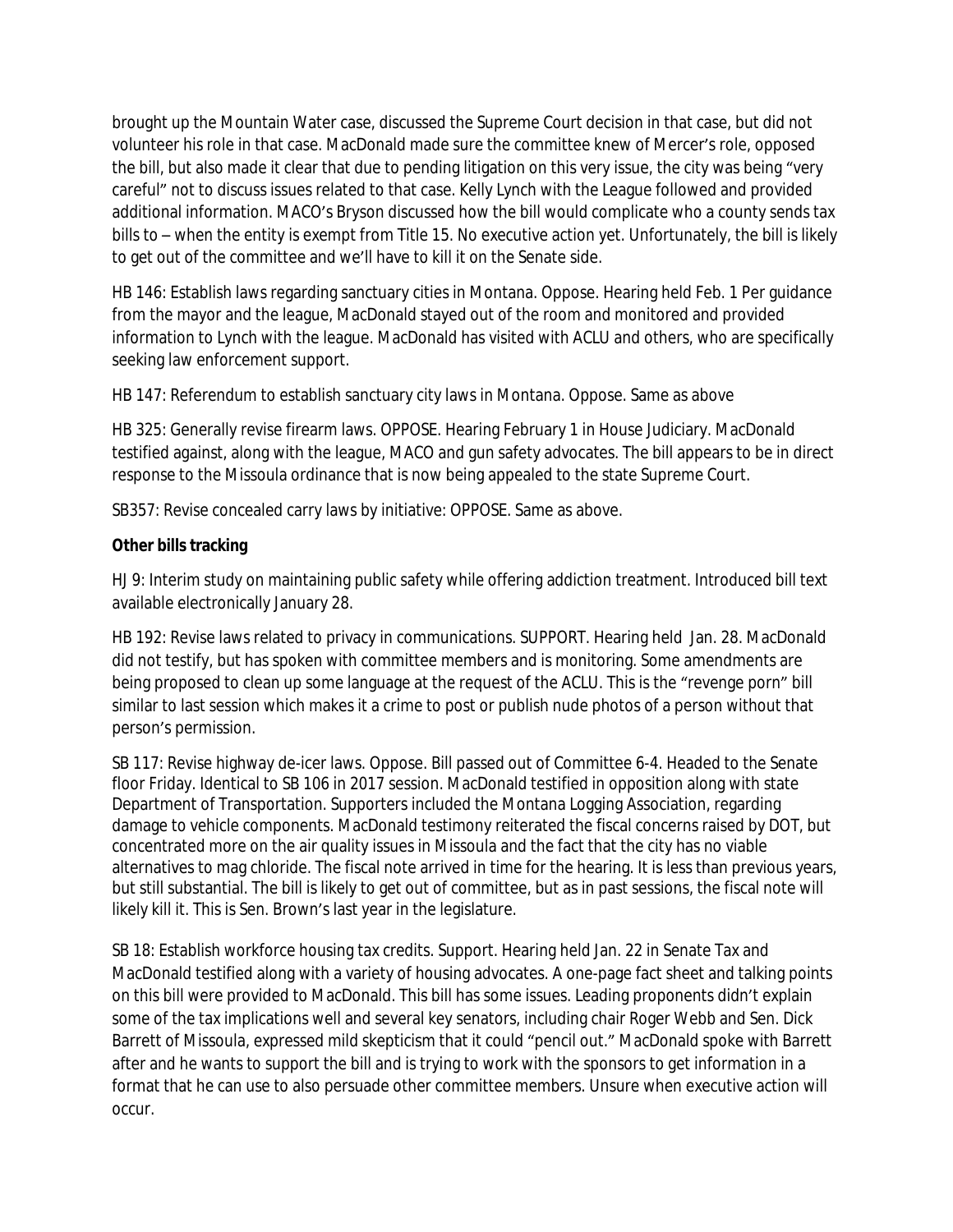brought up the Mountain Water case, discussed the Supreme Court decision in that case, but did not volunteer his role in that case. MacDonald made sure the committee knew of Mercer's role, opposed the bill, but also made it clear that due to pending litigation on this very issue, the city was being "very careful" not to discuss issues related to that case. Kelly Lynch with the League followed and provided additional information. MACO's Bryson discussed how the bill would complicate who a county sends tax bills to – when the entity is exempt from Title 15. No executive action yet. Unfortunately, the bill is likely to get out of the committee and we'll have to kill it on the Senate side.

HB 146: Establish laws regarding sanctuary cities in Montana. Oppose. Hearing held Feb. 1 Per guidance from the mayor and the league, MacDonald stayed out of the room and monitored and provided information to Lynch with the league. MacDonald has visited with ACLU and others, who are specifically seeking law enforcement support.

HB 147: Referendum to establish sanctuary city laws in Montana. Oppose. Same as above

HB 325: Generally revise firearm laws. OPPOSE. Hearing February 1 in House Judiciary. MacDonald testified against, along with the league, MACO and gun safety advocates. The bill appears to be in direct response to the Missoula ordinance that is now being appealed to the state Supreme Court.

SB357: Revise concealed carry laws by initiative: OPPOSE. Same as above.

## **Other bills tracking**

HJ 9: Interim study on maintaining public safety while offering addiction treatment. Introduced bill text available electronically January 28.

HB 192: Revise laws related to privacy in communications. SUPPORT. Hearing held Jan. 28. MacDonald did not testify, but has spoken with committee members and is monitoring. Some amendments are being proposed to clean up some language at the request of the ACLU. This is the "revenge porn" bill similar to last session which makes it a crime to post or publish nude photos of a person without that person's permission.

SB 117: Revise highway de-icer laws. Oppose. Bill passed out of Committee 6-4. Headed to the Senate floor Friday. Identical to SB 106 in 2017 session. MacDonald testified in opposition along with state Department of Transportation. Supporters included the Montana Logging Association, regarding damage to vehicle components. MacDonald testimony reiterated the fiscal concerns raised by DOT, but concentrated more on the air quality issues in Missoula and the fact that the city has no viable alternatives to mag chloride. The fiscal note arrived in time for the hearing. It is less than previous years, but still substantial. The bill is likely to get out of committee, but as in past sessions, the fiscal note will likely kill it. This is Sen. Brown's last year in the legislature.

SB 18: Establish workforce housing tax credits. Support. Hearing held Jan. 22 in Senate Tax and MacDonald testified along with a variety of housing advocates. A one-page fact sheet and talking points on this bill were provided to MacDonald. This bill has some issues. Leading proponents didn't explain some of the tax implications well and several key senators, including chair Roger Webb and Sen. Dick Barrett of Missoula, expressed mild skepticism that it could "pencil out." MacDonald spoke with Barrett after and he wants to support the bill and is trying to work with the sponsors to get information in a format that he can use to also persuade other committee members. Unsure when executive action will occur.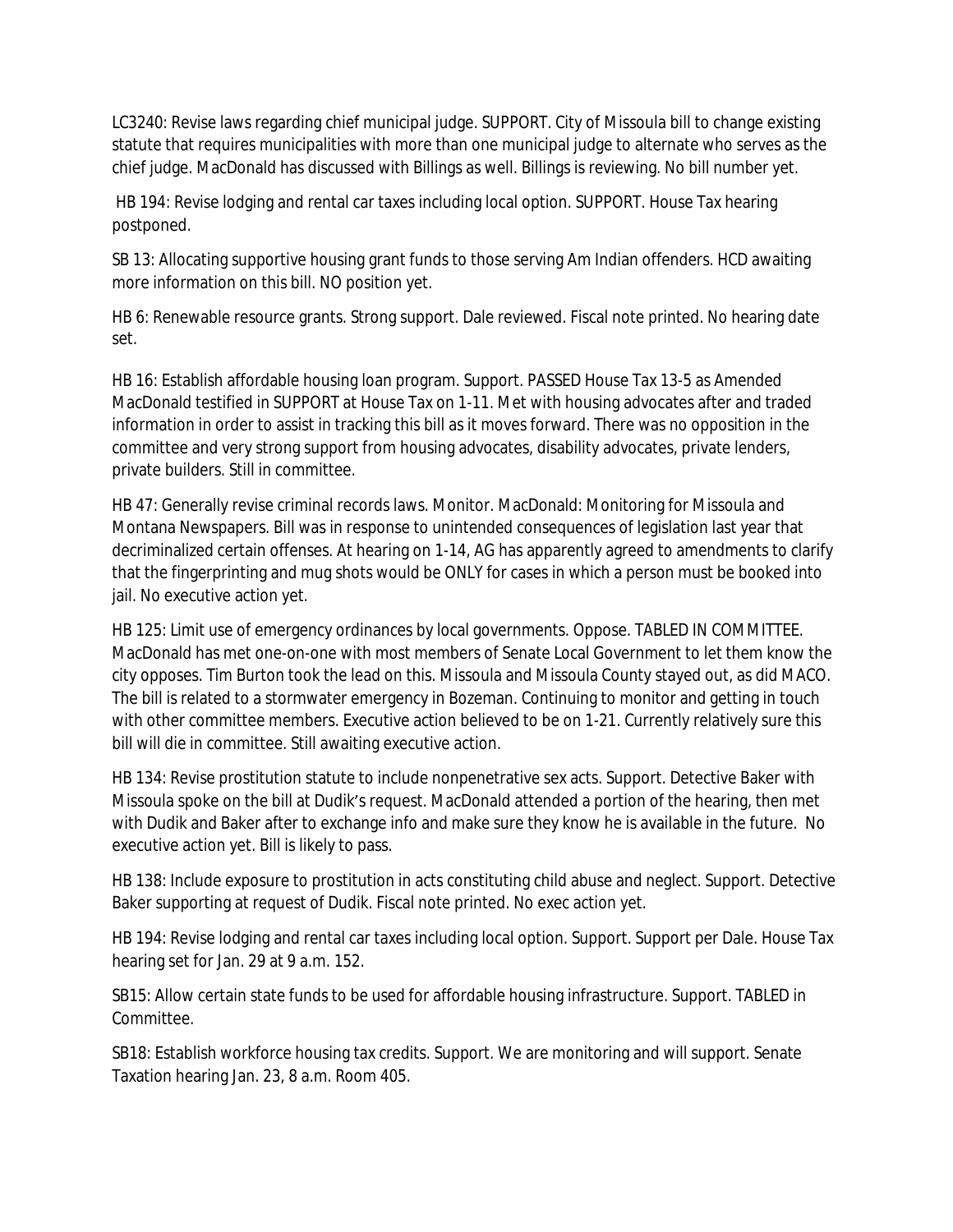LC3240: Revise laws regarding chief municipal judge. SUPPORT. City of Missoula bill to change existing statute that requires municipalities with more than one municipal judge to alternate who serves as the chief judge. MacDonald has discussed with Billings as well. Billings is reviewing. No bill number yet.

 HB 194: Revise lodging and rental car taxes including local option. SUPPORT. House Tax hearing postponed.

SB 13: Allocating supportive housing grant funds to those serving Am Indian offenders. HCD awaiting more information on this bill. NO position yet.

HB 6: Renewable resource grants. Strong support. Dale reviewed. Fiscal note printed. No hearing date set.

HB 16: Establish affordable housing loan program. Support. PASSED House Tax 13-5 as Amended MacDonald testified in SUPPORT at House Tax on 1-11. Met with housing advocates after and traded information in order to assist in tracking this bill as it moves forward. There was no opposition in the committee and very strong support from housing advocates, disability advocates, private lenders, private builders. Still in committee.

HB 47: Generally revise criminal records laws. Monitor. MacDonald: Monitoring for Missoula and Montana Newspapers. Bill was in response to unintended consequences of legislation last year that decriminalized certain offenses. At hearing on 1-14, AG has apparently agreed to amendments to clarify that the fingerprinting and mug shots would be ONLY for cases in which a person must be booked into jail. No executive action yet.

HB 125: Limit use of emergency ordinances by local governments. Oppose. TABLED IN COMMITTEE. MacDonald has met one-on-one with most members of Senate Local Government to let them know the city opposes. Tim Burton took the lead on this. Missoula and Missoula County stayed out, as did MACO. The bill is related to a stormwater emergency in Bozeman. Continuing to monitor and getting in touch with other committee members. Executive action believed to be on 1-21. Currently relatively sure this bill will die in committee. Still awaiting executive action.

HB 134: Revise prostitution statute to include nonpenetrative sex acts. Support. Detective Baker with Missoula spoke on the bill at Dudik's request. MacDonald attended a portion of the hearing, then met with Dudik and Baker after to exchange info and make sure they know he is available in the future. No executive action yet. Bill is likely to pass.

HB 138: Include exposure to prostitution in acts constituting child abuse and neglect. Support. Detective Baker supporting at request of Dudik. Fiscal note printed. No exec action yet.

HB 194: Revise lodging and rental car taxes including local option. Support. Support per Dale. House Tax hearing set for Jan. 29 at 9 a.m. 152.

SB15: Allow certain state funds to be used for affordable housing infrastructure. Support. TABLED in Committee.

SB18: Establish workforce housing tax credits. Support. We are monitoring and will support. Senate Taxation hearing Jan. 23, 8 a.m. Room 405.